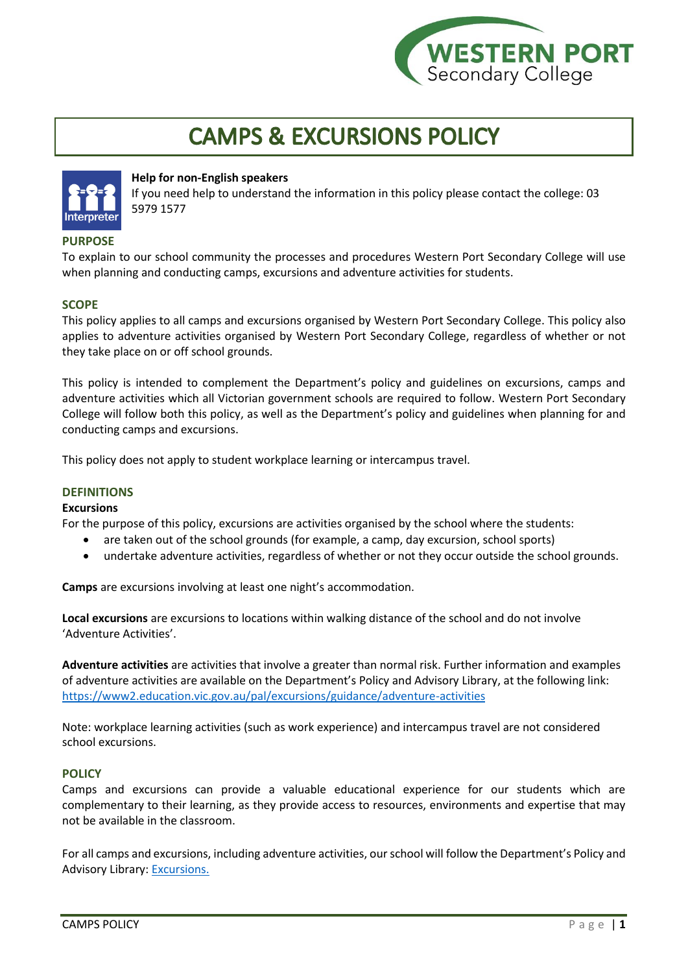

# **CAMPS & EXCURSIONS POLICY**



# **Help for non-English speakers**

If you need help to understand the information in this policy please contact the college: 03 5979 1577

# **PURPOSE**

To explain to our school community the processes and procedures Western Port Secondary College will use when planning and conducting camps, excursions and adventure activities for students.

# **SCOPE**

This policy applies to all camps and excursions organised by Western Port Secondary College. This policy also applies to adventure activities organised by Western Port Secondary College, regardless of whether or not they take place on or off school grounds.

This policy is intended to complement the Department's policy and guidelines on excursions, camps and adventure activities which all Victorian government schools are required to follow. Western Port Secondary College will follow both this policy, as well as the Department's policy and guidelines when planning for and conducting camps and excursions.

This policy does not apply to student workplace learning or intercampus travel.

## **DEFINITIONS**

## **Excursions**

For the purpose of this policy, excursions are activities organised by the school where the students:

- are taken out of the school grounds (for example, a camp, day excursion, school sports)
- undertake adventure activities, regardless of whether or not they occur outside the school grounds.

**Camps** are excursions involving at least one night's accommodation.

**Local excursions** are excursions to locations within walking distance of the school and do not involve 'Adventure Activities'.

**Adventure activities** are activities that involve a greater than normal risk. Further information and examples of adventure activities are available on the Department's Policy and Advisory Library, at the following link: <https://www2.education.vic.gov.au/pal/excursions/guidance/adventure-activities>

Note: workplace learning activities (such as work experience) and intercampus travel are not considered school excursions.

## **POLICY**

Camps and excursions can provide a valuable educational experience for our students which are complementary to their learning, as they provide access to resources, environments and expertise that may not be available in the classroom.

For all camps and excursions, including adventure activities, our school will follow the Department's Policy and Advisory Library: [Excursions.](https://www2.education.vic.gov.au/pal/excursions/policy)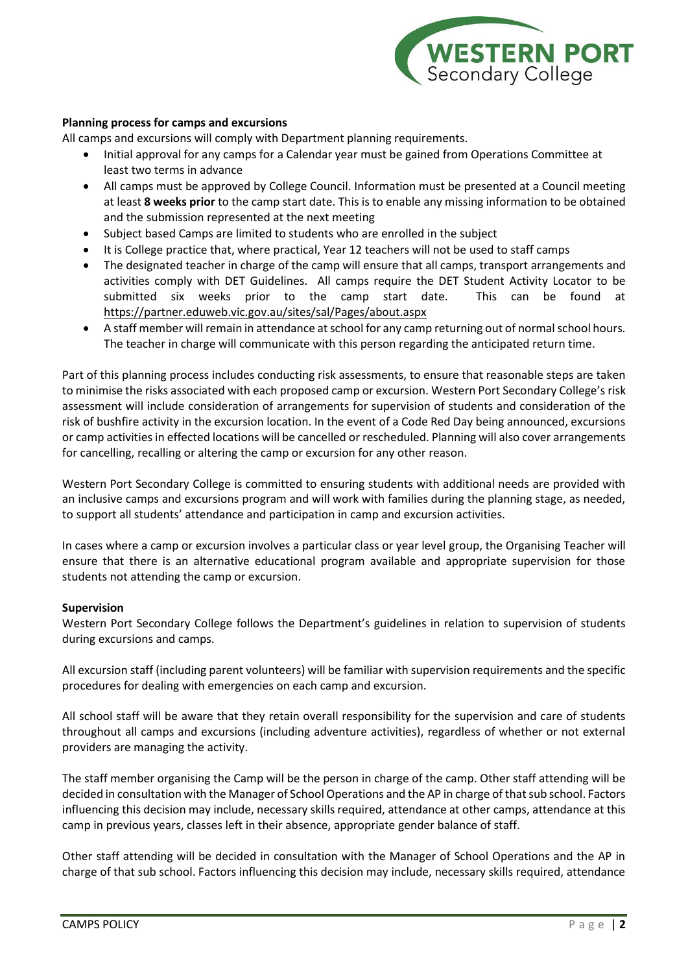

## **Planning process for camps and excursions**

All camps and excursions will comply with Department planning requirements.

- Initial approval for any camps for a Calendar year must be gained from Operations Committee at least two terms in advance
- All camps must be approved by College Council. Information must be presented at a Council meeting at least **8 weeks prior** to the camp start date. This is to enable any missing information to be obtained and the submission represented at the next meeting
- Subject based Camps are limited to students who are enrolled in the subject
- It is College practice that, where practical, Year 12 teachers will not be used to staff camps
- The designated teacher in charge of the camp will ensure that all camps, transport arrangements and activities comply with DET Guidelines. All camps require the DET Student Activity Locator to be submitted six weeks prior to the camp start date. This can be found at <https://partner.eduweb.vic.gov.au/sites/sal/Pages/about.aspx>
- A staff member will remain in attendance at school for any camp returning out of normal school hours. The teacher in charge will communicate with this person regarding the anticipated return time.

Part of this planning process includes conducting risk assessments, to ensure that reasonable steps are taken to minimise the risks associated with each proposed camp or excursion. Western Port Secondary College's risk assessment will include consideration of arrangements for supervision of students and consideration of the risk of bushfire activity in the excursion location. In the event of a Code Red Day being announced, excursions or camp activities in effected locations will be cancelled or rescheduled. Planning will also cover arrangements for cancelling, recalling or altering the camp or excursion for any other reason.

Western Port Secondary College is committed to ensuring students with additional needs are provided with an inclusive camps and excursions program and will work with families during the planning stage, as needed, to support all students' attendance and participation in camp and excursion activities.

In cases where a camp or excursion involves a particular class or year level group, the Organising Teacher will ensure that there is an alternative educational program available and appropriate supervision for those students not attending the camp or excursion.

## **Supervision**

Western Port Secondary College follows the Department's guidelines in relation to supervision of students during excursions and camps.

All excursion staff (including parent volunteers) will be familiar with supervision requirements and the specific procedures for dealing with emergencies on each camp and excursion.

All school staff will be aware that they retain overall responsibility for the supervision and care of students throughout all camps and excursions (including adventure activities), regardless of whether or not external providers are managing the activity.

The staff member organising the Camp will be the person in charge of the camp. Other staff attending will be decided in consultation with the Manager of School Operations and the AP in charge of that sub school. Factors influencing this decision may include, necessary skills required, attendance at other camps, attendance at this camp in previous years, classes left in their absence, appropriate gender balance of staff.

Other staff attending will be decided in consultation with the Manager of School Operations and the AP in charge of that sub school. Factors influencing this decision may include, necessary skills required, attendance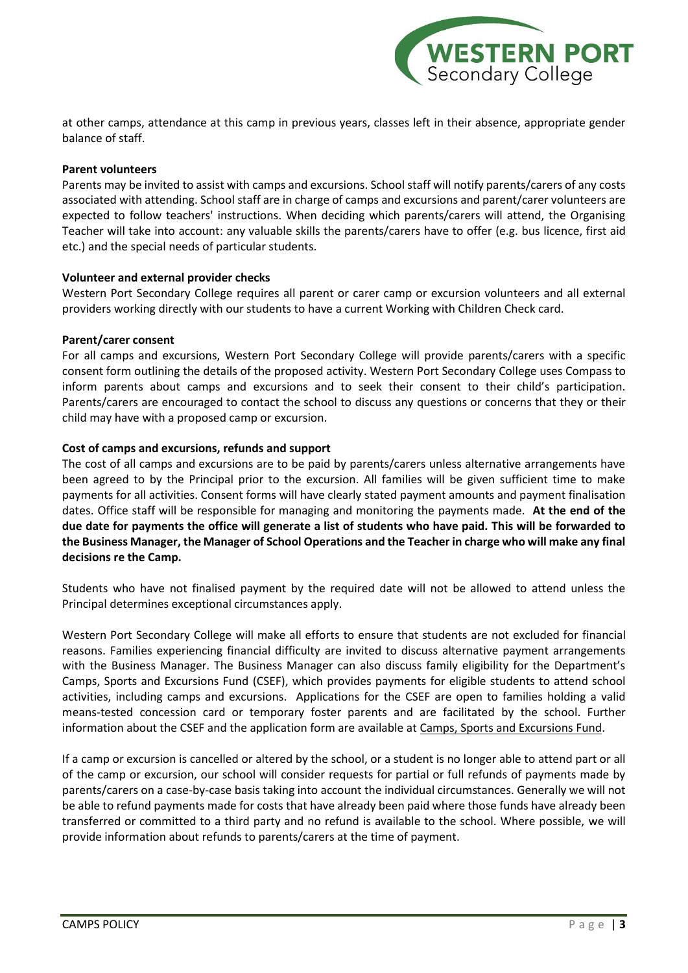

at other camps, attendance at this camp in previous years, classes left in their absence, appropriate gender balance of staff.

## **Parent volunteers**

Parents may be invited to assist with camps and excursions. School staff will notify parents/carers of any costs associated with attending. School staff are in charge of camps and excursions and parent/carer volunteers are expected to follow teachers' instructions. When deciding which parents/carers will attend, the Organising Teacher will take into account: any valuable skills the parents/carers have to offer (e.g. bus licence, first aid etc.) and the special needs of particular students.

## **Volunteer and external provider checks**

Western Port Secondary College requires all parent or carer camp or excursion volunteers and all external providers working directly with our students to have a current Working with Children Check card.

## **Parent/carer consent**

For all camps and excursions, Western Port Secondary College will provide parents/carers with a specific consent form outlining the details of the proposed activity. Western Port Secondary College uses Compass to inform parents about camps and excursions and to seek their consent to their child's participation. Parents/carers are encouraged to contact the school to discuss any questions or concerns that they or their child may have with a proposed camp or excursion.

## **Cost of camps and excursions, refunds and support**

The cost of all camps and excursions are to be paid by parents/carers unless alternative arrangements have been agreed to by the Principal prior to the excursion. All families will be given sufficient time to make payments for all activities. Consent forms will have clearly stated payment amounts and payment finalisation dates. Office staff will be responsible for managing and monitoring the payments made. **At the end of the due date for payments the office will generate a list of students who have paid. This will be forwarded to the Business Manager, the Manager of School Operations and the Teacher in charge who will make any final decisions re the Camp.**

Students who have not finalised payment by the required date will not be allowed to attend unless the Principal determines exceptional circumstances apply.

Western Port Secondary College will make all efforts to ensure that students are not excluded for financial reasons. Families experiencing financial difficulty are invited to discuss alternative payment arrangements with the Business Manager. The Business Manager can also discuss family eligibility for the Department's Camps, Sports and Excursions Fund (CSEF), which provides payments for eligible students to attend school activities, including camps and excursions. Applications for the CSEF are open to families holding a valid means-tested concession card or temporary foster parents and are facilitated by the school. Further information about the CSEF and the application form are available at [Camps, Sports and Excursions Fund.](https://www2.education.vic.gov.au/pal/camps-sports-and-excursions-fund/policy)

If a camp or excursion is cancelled or altered by the school, or a student is no longer able to attend part or all of the camp or excursion, our school will consider requests for partial or full refunds of payments made by parents/carers on a case-by-case basis taking into account the individual circumstances. Generally we will not be able to refund payments made for costs that have already been paid where those funds have already been transferred or committed to a third party and no refund is available to the school. Where possible, we will provide information about refunds to parents/carers at the time of payment.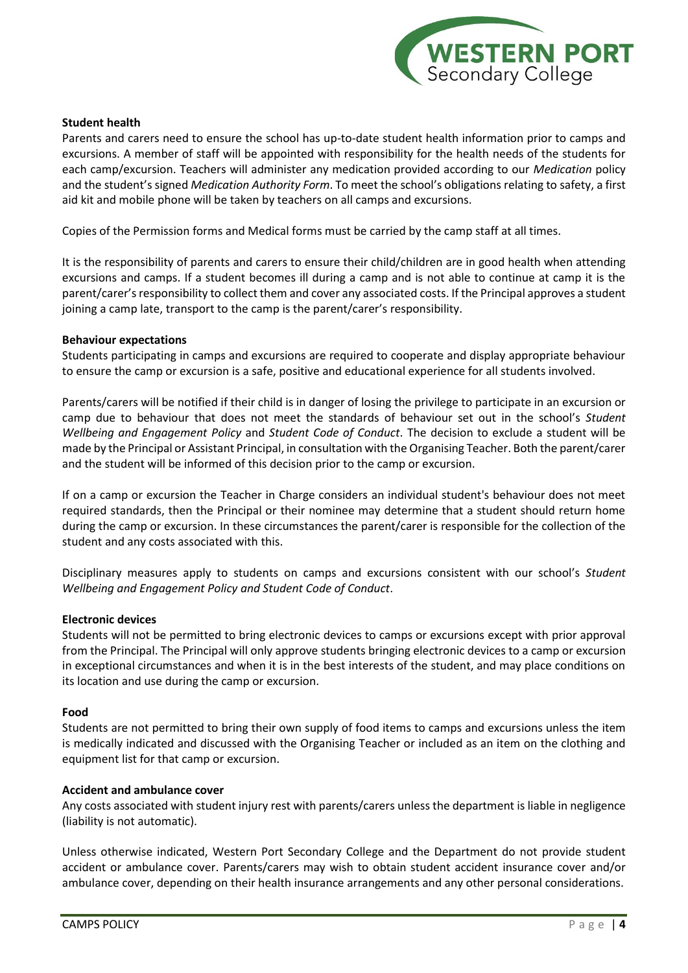

## **Student health**

Parents and carers need to ensure the school has up-to-date student health information prior to camps and excursions. A member of staff will be appointed with responsibility for the health needs of the students for each camp/excursion. Teachers will administer any medication provided according to our *Medication* policy and the student's signed *Medication Authority Form*. To meet the school's obligations relating to safety, a first aid kit and mobile phone will be taken by teachers on all camps and excursions.

Copies of the Permission forms and Medical forms must be carried by the camp staff at all times.

It is the responsibility of parents and carers to ensure their child/children are in good health when attending excursions and camps. If a student becomes ill during a camp and is not able to continue at camp it is the parent/carer's responsibility to collect them and cover any associated costs. If the Principal approves a student joining a camp late, transport to the camp is the parent/carer's responsibility.

## **Behaviour expectations**

Students participating in camps and excursions are required to cooperate and display appropriate behaviour to ensure the camp or excursion is a safe, positive and educational experience for all students involved.

Parents/carers will be notified if their child is in danger of losing the privilege to participate in an excursion or camp due to behaviour that does not meet the standards of behaviour set out in the school's *Student Wellbeing and Engagement Policy* and *Student Code of Conduct*. The decision to exclude a student will be made by the Principal or Assistant Principal, in consultation with the Organising Teacher. Both the parent/carer and the student will be informed of this decision prior to the camp or excursion.

If on a camp or excursion the Teacher in Charge considers an individual student's behaviour does not meet required standards, then the Principal or their nominee may determine that a student should return home during the camp or excursion. In these circumstances the parent/carer is responsible for the collection of the student and any costs associated with this.

Disciplinary measures apply to students on camps and excursions consistent with our school's *Student Wellbeing and Engagement Policy and Student Code of Conduct*.

#### **Electronic devices**

Students will not be permitted to bring electronic devices to camps or excursions except with prior approval from the Principal. The Principal will only approve students bringing electronic devices to a camp or excursion in exceptional circumstances and when it is in the best interests of the student, and may place conditions on its location and use during the camp or excursion.

#### **Food**

Students are not permitted to bring their own supply of food items to camps and excursions unless the item is medically indicated and discussed with the Organising Teacher or included as an item on the clothing and equipment list for that camp or excursion.

#### **Accident and ambulance cover**

Any costs associated with student injury rest with parents/carers unless the department is liable in negligence (liability is not automatic).

Unless otherwise indicated, Western Port Secondary College and the Department do not provide student accident or ambulance cover. Parents/carers may wish to obtain student accident insurance cover and/or ambulance cover, depending on their health insurance arrangements and any other personal considerations.